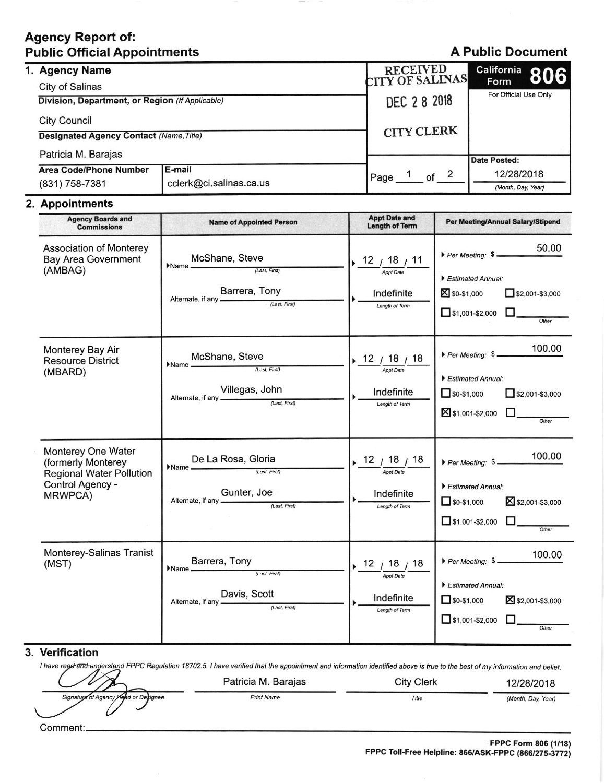## **Agency Report of: Public Official Appointments**

## **A Public Document**

|  | 1. Agency Name                                                        |                         | RECEIVED<br>CITY OF SALINAS | California 806                |
|--|-----------------------------------------------------------------------|-------------------------|-----------------------------|-------------------------------|
|  | City of Salinas                                                       |                         |                             | Form<br>For Official Use Only |
|  | Division, Department, or Region (If Applicable)                       |                         | DEC 28 2018                 |                               |
|  | <b>City Council</b><br><b>Designated Agency Contact (Name, Title)</b> |                         | <b>CITY CLERK</b>           |                               |
|  |                                                                       |                         |                             |                               |
|  | Patricia M. Barajas                                                   |                         |                             | <b>Date Posted:</b>           |
|  | <b>Area Code/Phone Number</b>                                         | <b>E-mail</b>           | of $2$<br>Page              | 12/28/2018                    |
|  | (831) 758-7381                                                        | cclerk@ci.salinas.ca.us |                             | (Month, Day, Year)            |

### 2. Appointments

| <b>Agency Boards and</b><br><b>Commissions</b>                                                             | <b>Name of Appointed Person</b>                                                                                                                                  | <b>Appt Date and</b><br><b>Length of Term</b>                             | Per Meeting/Annual Salary/Stipend                                                                                                   |
|------------------------------------------------------------------------------------------------------------|------------------------------------------------------------------------------------------------------------------------------------------------------------------|---------------------------------------------------------------------------|-------------------------------------------------------------------------------------------------------------------------------------|
| <b>Association of Monterey</b><br><b>Bay Area Government</b><br>(AMBAG)                                    | McShane, Steve<br>$\noindent \bigwedge$ Name $\overbrace{\qquad \qquad }^{(Last, First)}$<br>Barrera, Tony<br>Alternate, if any <i>Last, First</i>               | $+ 12 / \frac{18}{\frac{ApptDate}{}} 11$<br>Indefinite<br>Length of Term  | 50.00<br>Per Meeting: \$<br>Estimated Annual:<br><b>X</b> \$0-\$1,000<br>$\Box$ \$2,001-\$3,000<br>$\Box$ \$1,001-\$2,000           |
| Monterey Bay Air<br><b>Resource District</b><br>(MBARD)                                                    | McShane, Steve $\frac{\text{Mcshane}}{\text{(Last, First)}}$<br>Name<br>Alternate, if any <b>Villegas</b> , John                                                 | $12$ / $18$ / $18$<br><b>Appt Date</b><br>Indefinite<br>Length of Term    | 100.00<br>Per Meeting: \$<br>Estimated Annual:<br>$\Box$ \$2,001-\$3,000<br>$\Box$ \$0-\$1,000<br>S1,001-\$2,000<br>Other           |
| Monterey One Water<br>(formerly Monterey<br><b>Regional Water Pollution</b><br>Control Agency -<br>MRWPCA) | <b>De La Rosa, Gloria</b><br>Gunter, Joe                                                                                                                         | 12 / 18 / 18<br><b>Appt Date</b><br>Indefinite<br>Length of Term          | 100.00<br>Per Meeting: \$<br>Estimated Annual:<br>X \$2,001-\$3,000<br>$\Box$ \$0-\$1,000<br>$\Box$ \$1,001-\$2,000 $\Box$<br>Other |
| Monterey-Salinas Tranist<br>(MST)                                                                          | $\text{Name} \underbrace{\text{Barrera}, \text{ Tony}}_{\text{\textit{(Last, First)}} }$<br>Davis, Scott<br>Alternate, if any <b>Exercise 2020</b> (Last, First) | $12^{18}$ / 18 $/ 18$<br><b>Appt Date</b><br>Indefinite<br>Length of Term | 100.00<br>Per Meeting: \$<br>Estimated Annual:<br>$\Box$ \$0-\$1,000<br>X \$2,001-\$3,000<br>$\Box$ \$1,001-\$2,000<br>Other        |

#### 3. Verification

I have regerand understand FPPC Regulation 18702.5. I have verified that the appointment and information identified above is true to the best of my information and belief.

**Print Name** 

Patricia M. Barajas Signature of Age эпсу d or De tianee

Comment:

12/28/2018

(Month, Day, Year)

**City Clerk** 

Title